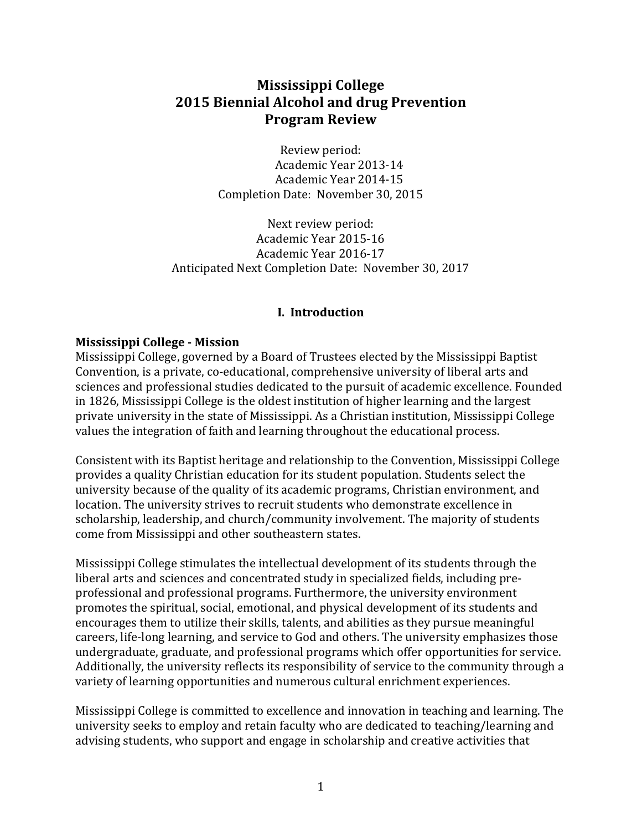# **Mississippi College 2015 Biennial Alcohol and drug Prevention Program Review**

Review period: Academic Year 2013-14 Academic Year 2014-15 Completion Date: November 30, 2015

Next review period: Academic Year 2015-16 Academic Year 2016-17 Anticipated Next Completion Date: November 30, 2017

## **I. Introduction**

## **Mississippi College - Mission**

Mississippi College, governed by a Board of Trustees elected by the Mississippi Baptist Convention, is a private, co-educational, comprehensive university of liberal arts and sciences and professional studies dedicated to the pursuit of academic excellence. Founded in 1826, Mississippi College is the oldest institution of higher learning and the largest private university in the state of Mississippi. As a Christian institution, Mississippi College values the integration of faith and learning throughout the educational process.

Consistent with its Baptist heritage and relationship to the Convention, Mississippi College provides a quality Christian education for its student population. Students select the university because of the quality of its academic programs, Christian environment, and location. The university strives to recruit students who demonstrate excellence in scholarship, leadership, and church/community involvement. The majority of students come from Mississippi and other southeastern states.

Mississippi College stimulates the intellectual development of its students through the liberal arts and sciences and concentrated study in specialized fields, including preprofessional and professional programs. Furthermore, the university environment promotes the spiritual, social, emotional, and physical development of its students and encourages them to utilize their skills, talents, and abilities as they pursue meaningful careers, life-long learning, and service to God and others. The university emphasizes those undergraduate, graduate, and professional programs which offer opportunities for service. Additionally, the university reflects its responsibility of service to the community through a variety of learning opportunities and numerous cultural enrichment experiences.

Mississippi College is committed to excellence and innovation in teaching and learning. The university seeks to employ and retain faculty who are dedicated to teaching/learning and advising students, who support and engage in scholarship and creative activities that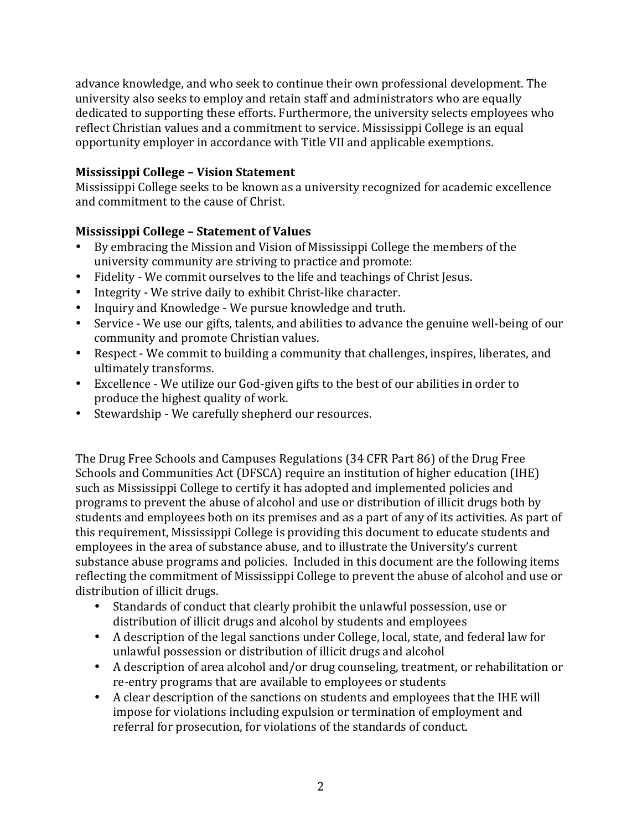advance knowledge, and who seek to continue their own professional development. The university also seeks to employ and retain staff and administrators who are equally dedicated to supporting these efforts. Furthermore, the university selects employees who reflect Christian values and a commitment to service. Mississippi College is an equal opportunity employer in accordance with Title VII and applicable exemptions.

## **Mississippi College - Vision Statement**

Mississippi College seeks to be known as a university recognized for academic excellence and commitment to the cause of Christ.

# **Mississippi College – Statement of Values**

- By embracing the Mission and Vision of Mississippi College the members of the university community are striving to practice and promote:
- Fidelity We commit ourselves to the life and teachings of Christ Jesus.
- Integrity We strive daily to exhibit Christ-like character.
- Inquiry and Knowledge We pursue knowledge and truth.
- Service We use our gifts, talents, and abilities to advance the genuine well-being of our community and promote Christian values.
- Respect We commit to building a community that challenges, inspires, liberates, and ultimately transforms.
- Excellence We utilize our God-given gifts to the best of our abilities in order to produce the highest quality of work.
- Stewardship We carefully shepherd our resources.

The Drug Free Schools and Campuses Regulations (34 CFR Part 86) of the Drug Free Schools and Communities Act (DFSCA) require an institution of higher education (IHE) such as Mississippi College to certify it has adopted and implemented policies and programs to prevent the abuse of alcohol and use or distribution of illicit drugs both by students and employees both on its premises and as a part of any of its activities. As part of this requirement, Mississippi College is providing this document to educate students and employees in the area of substance abuse, and to illustrate the University's current substance abuse programs and policies. Included in this document are the following items reflecting the commitment of Mississippi College to prevent the abuse of alcohol and use or distribution of illicit drugs.

- Standards of conduct that clearly prohibit the unlawful possession, use or distribution of illicit drugs and alcohol by students and employees
- A description of the legal sanctions under College, local, state, and federal law for unlawful possession or distribution of illicit drugs and alcohol
- A description of area alcohol and/or drug counseling, treatment, or rehabilitation or re-entry programs that are available to employees or students
- A clear description of the sanctions on students and employees that the IHE will impose for violations including expulsion or termination of employment and referral for prosecution, for violations of the standards of conduct.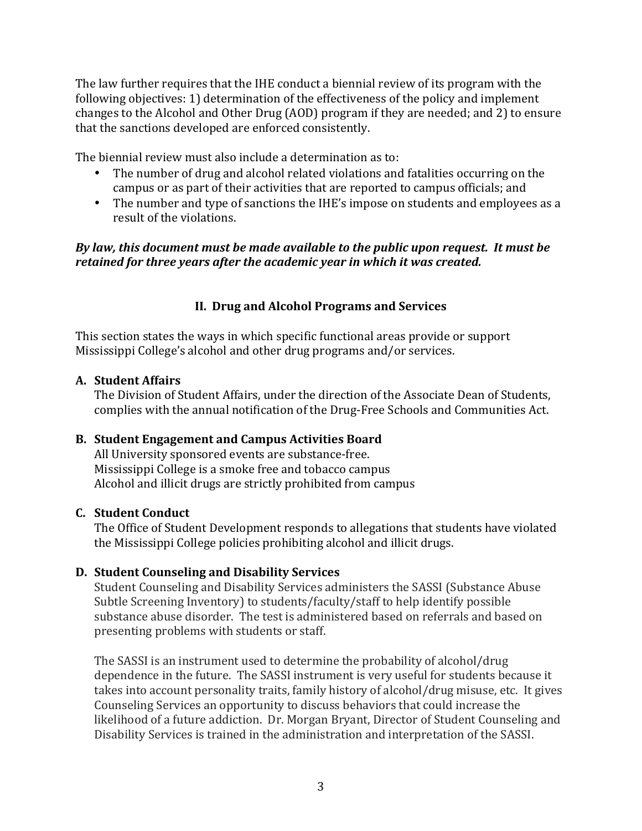The law further requires that the IHE conduct a biennial review of its program with the following objectives: 1) determination of the effectiveness of the policy and implement changes to the Alcohol and Other Drug (AOD) program if they are needed; and 2) to ensure that the sanctions developed are enforced consistently.

The biennial review must also include a determination as to:

- The number of drug and alcohol related violations and fatalities occurring on the campus or as part of their activities that are reported to campus officials; and
- The number and type of sanctions the IHE's impose on students and employees as a result of the violations.

## *By law, this document must be made available to the public upon request. It must be retained for three years after the academic year in which it was created.*

# **II. Drug and Alcohol Programs and Services**

This section states the ways in which specific functional areas provide or support Mississippi College's alcohol and other drug programs and/or services.

## **A. Student Affairs**

The Division of Student Affairs, under the direction of the Associate Dean of Students, complies with the annual notification of the Drug-Free Schools and Communities Act.

## **B.** Student Engagement and Campus Activities Board

All University sponsored events are substance-free. Mississippi College is a smoke free and tobacco campus Alcohol and illicit drugs are strictly prohibited from campus

## **C. Student Conduct**

The Office of Student Development responds to allegations that students have violated the Mississippi College policies prohibiting alcohol and illicit drugs.

## **D. Student Counseling and Disability Services**

Student Counseling and Disability Services administers the SASSI (Substance Abuse Subtle Screening Inventory) to students/faculty/staff to help identify possible substance abuse disorder. The test is administered based on referrals and based on presenting problems with students or staff.

The SASSI is an instrument used to determine the probability of alcohol/drug dependence in the future. The SASSI instrument is very useful for students because it takes into account personality traits, family history of alcohol/drug misuse, etc. It gives Counseling Services an opportunity to discuss behaviors that could increase the likelihood of a future addiction. Dr. Morgan Bryant, Director of Student Counseling and Disability Services is trained in the administration and interpretation of the SASSI.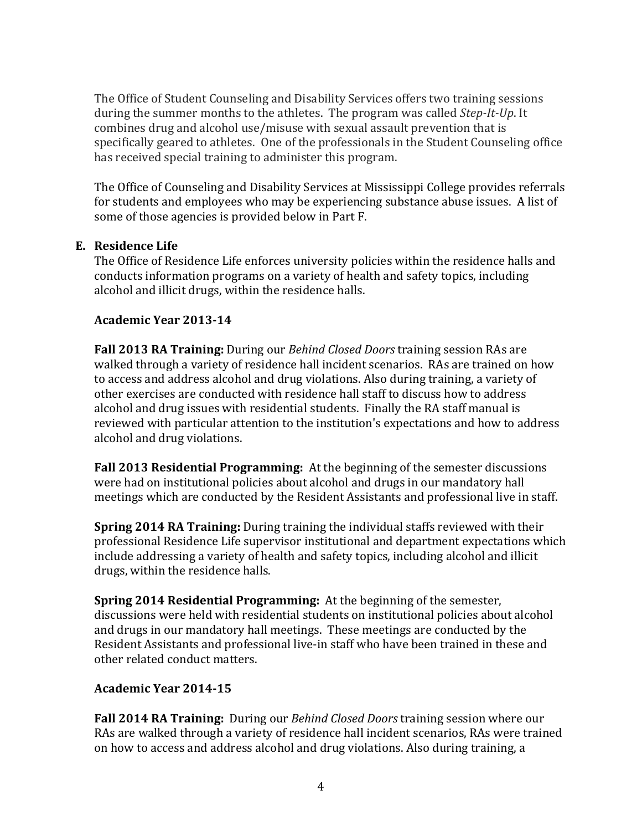The Office of Student Counseling and Disability Services offers two training sessions during the summer months to the athletes. The program was called *Step-It-Up*. It combines drug and alcohol use/misuse with sexual assault prevention that is specifically geared to athletes. One of the professionals in the Student Counseling office has received special training to administer this program.

The Office of Counseling and Disability Services at Mississippi College provides referrals for students and employees who may be experiencing substance abuse issues. A list of some of those agencies is provided below in Part F.

## **E. Residence Life**

The Office of Residence Life enforces university policies within the residence halls and conducts information programs on a variety of health and safety topics, including alcohol and illicit drugs, within the residence halls.

## **Academic Year 2013-14**

**Fall 2013 RA Training:** During our *Behind Closed Doors* training session RAs are walked through a variety of residence hall incident scenarios. RAs are trained on how to access and address alcohol and drug violations. Also during training, a variety of other exercises are conducted with residence hall staff to discuss how to address alcohol and drug issues with residential students. Finally the RA staff manual is reviewed with particular attention to the institution's expectations and how to address alcohol and drug violations.

**Fall 2013 Residential Programming:** At the beginning of the semester discussions were had on institutional policies about alcohol and drugs in our mandatory hall meetings which are conducted by the Resident Assistants and professional live in staff.

**Spring 2014 RA Training:** During training the individual staffs reviewed with their professional Residence Life supervisor institutional and department expectations which include addressing a variety of health and safety topics, including alcohol and illicit drugs, within the residence halls.

**Spring 2014 Residential Programming:** At the beginning of the semester, discussions were held with residential students on institutional policies about alcohol and drugs in our mandatory hall meetings. These meetings are conducted by the Resident Assistants and professional live-in staff who have been trained in these and other related conduct matters.

# **Academic Year 2014-15**

**Fall 2014 RA Training:** During our *Behind Closed Doors* training session where our RAs are walked through a variety of residence hall incident scenarios, RAs were trained on how to access and address alcohol and drug violations. Also during training, a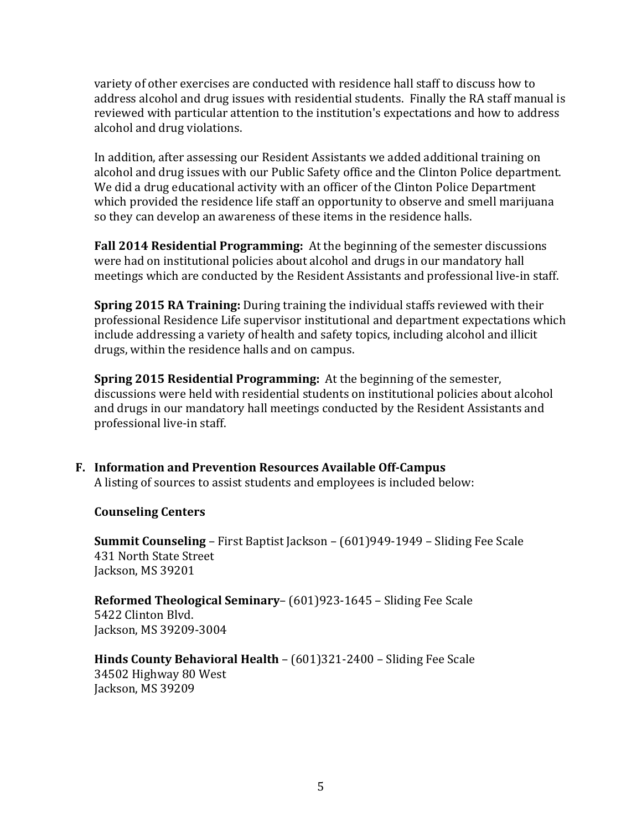variety of other exercises are conducted with residence hall staff to discuss how to address alcohol and drug issues with residential students. Finally the RA staff manual is reviewed with particular attention to the institution's expectations and how to address alcohol and drug violations.

In addition, after assessing our Resident Assistants we added additional training on alcohol and drug issues with our Public Safety office and the Clinton Police department. We did a drug educational activity with an officer of the Clinton Police Department which provided the residence life staff an opportunity to observe and smell marijuana so they can develop an awareness of these items in the residence halls.

**Fall 2014 Residential Programming:** At the beginning of the semester discussions were had on institutional policies about alcohol and drugs in our mandatory hall meetings which are conducted by the Resident Assistants and professional live-in staff.

**Spring 2015 RA Training:** During training the individual staffs reviewed with their professional Residence Life supervisor institutional and department expectations which include addressing a variety of health and safety topics, including alcohol and illicit drugs, within the residence halls and on campus.

**Spring 2015 Residential Programming:** At the beginning of the semester, discussions were held with residential students on institutional policies about alcohol and drugs in our mandatory hall meetings conducted by the Resident Assistants and professional live-in staff.

**F. Information and Prevention Resources Available Off-Campus** A listing of sources to assist students and employees is included below:

## **Counseling Centers**

**Summit Counseling** – First Baptist Jackson – (601)949-1949 – Sliding Fee Scale 431 North State Street Jackson, MS 39201

**Reformed Theological Seminary–** (601)923-1645 – Sliding Fee Scale 5422 Clinton Blyd. Jackson, MS 39209-3004

**Hinds County Behavioral Health –** (601)321-2400 – Sliding Fee Scale 34502 Highway 80 West Jackson, MS 39209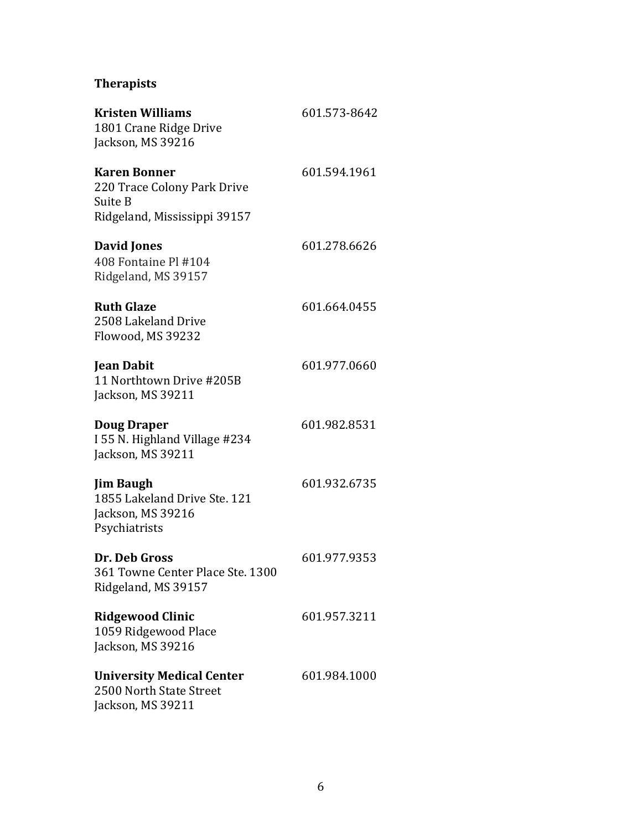# **Therapists**

| <b>Kristen Williams</b><br>1801 Crane Ridge Drive<br>Jackson, MS 39216                        | 601.573-8642 |
|-----------------------------------------------------------------------------------------------|--------------|
| <b>Karen Bonner</b><br>220 Trace Colony Park Drive<br>Suite B<br>Ridgeland, Mississippi 39157 | 601.594.1961 |
| <b>David Jones</b><br>408 Fontaine Pl #104<br>Ridgeland, MS 39157                             | 601.278.6626 |
| <b>Ruth Glaze</b><br>2508 Lakeland Drive<br>Flowood, MS 39232                                 | 601.664.0455 |
| <b>Jean Dabit</b><br>11 Northtown Drive #205B<br>Jackson, MS 39211                            | 601.977.0660 |
| <b>Doug Draper</b><br>I 55 N. Highland Village #234<br>Jackson, MS 39211                      | 601.982.8531 |
| <b>Jim Baugh</b><br>1855 Lakeland Drive Ste. 121<br>Jackson, MS 39216<br>Psychiatrists        | 601.932.6735 |
| Dr. Deb Gross<br>361 Towne Center Place Ste. 1300<br>Ridgeland, MS 39157                      | 601.977.9353 |
| <b>Ridgewood Clinic</b><br>1059 Ridgewood Place<br>Jackson, MS 39216                          | 601.957.3211 |
| <b>University Medical Center</b><br>2500 North State Street<br>Jackson, MS 39211              | 601.984.1000 |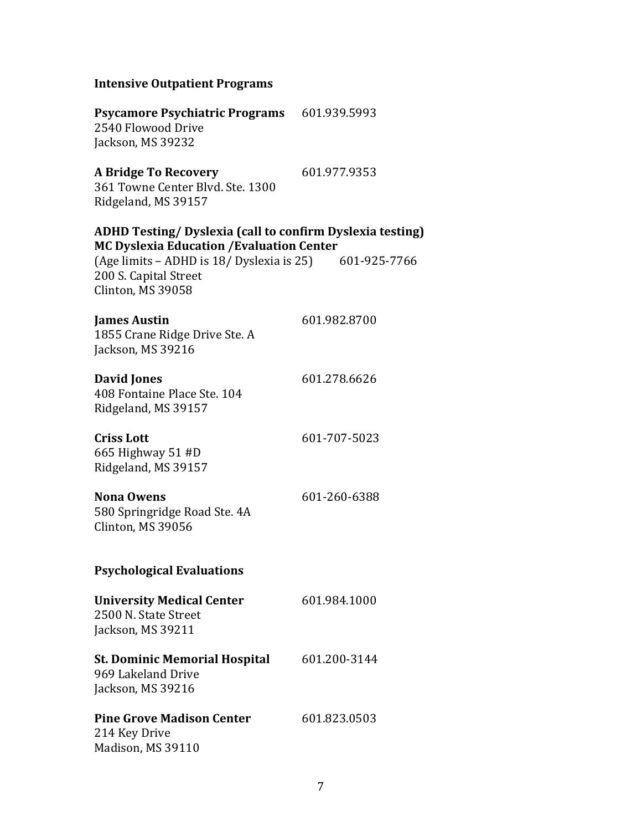#### **Intensive Outpatient Programs**

**Psycamore Psychiatric Programs** 601.939.5993 2540 Flowood Drive Jackson, MS 39232

# **A Bridge To Recovery** 601.977.9353

361 Towne Center Blvd. Ste. 1300 Ridgeland, MS 39157

**ADHD Testing/ Dyslexia (call to confirm Dyslexia testing) MC Dyslexia Education /Evaluation Center** 

| (Age limits – ADHD is 18/ Dyslexia is 25) | 601-925-7766 |
|-------------------------------------------|--------------|
| 200 S. Capital Street                     |              |
| Clinton, MS 39058                         |              |

| <b>James Austin</b>           | 601.982.8700 |
|-------------------------------|--------------|
| 1855 Crane Ridge Drive Ste. A |              |
| Jackson, MS 39216             |              |

#### **David Jones** 601.278.6626 408 Fontaine Place Ste. 104 Ridgeland, MS 39157

**Criss Lott** 601-707-5023 665 Highway 51 #D Ridgeland, MS 39157

#### **Nona Owens** 601-260-6388 580 Springridge Road Ste. 4A Clinton, MS 39056

## **Psychological Evaluations**

| <b>University Medical Center</b><br>2500 N. State Street<br>Jackson, MS 39211 | 601.984.1000 |
|-------------------------------------------------------------------------------|--------------|
| St. Dominic Memorial Hospital<br>969 Lakeland Drive<br>Jackson, MS 39216      | 601.200-3144 |
| <b>Pine Grove Madison Center</b>                                              | 601.823.0503 |

214 Key Drive Madison, MS 39110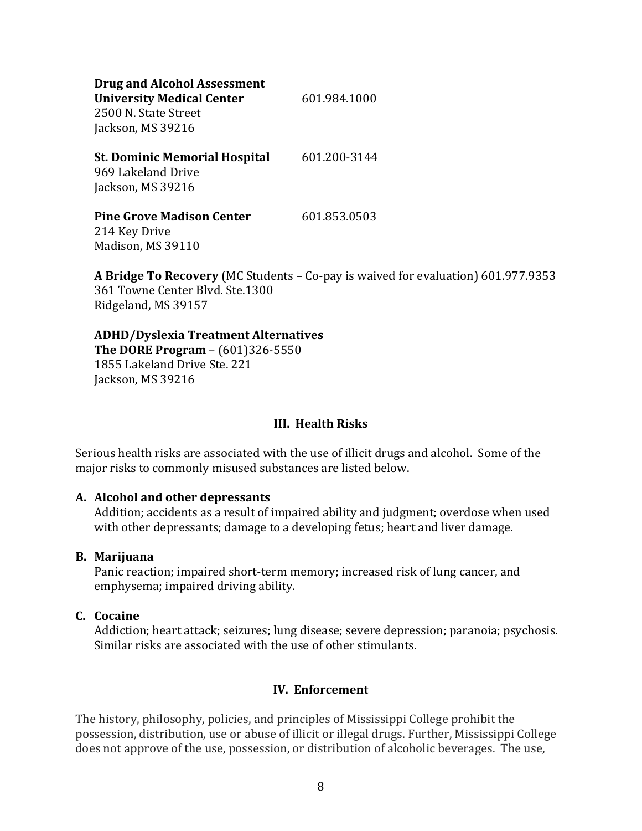| <b>Drug and Alcohol Assessment</b><br><b>University Medical Center</b><br>2500 N. State Street<br>Jackson, MS 39216 | 601.984.1000 |
|---------------------------------------------------------------------------------------------------------------------|--------------|
| <b>St. Dominic Memorial Hospital</b><br>969 Lakeland Drive<br>Jackson, MS 39216                                     | 601.200-3144 |
| <b>Pine Grove Madison Center</b><br>214 Key Drive<br>Madison, MS 39110                                              | 601.853.0503 |

**A Bridge To Recovery** (MC Students – Co-pay is waived for evaluation) 601.977.9353 361 Towne Center Blvd. Ste.1300 Ridgeland, MS 39157

# **ADHD/Dyslexia Treatment Alternatives**

**The DORE Program** –  $(601)326 - 5550$ 1855 Lakeland Drive Ste. 221 Jackson, MS 39216

## **III.** Health Risks

Serious health risks are associated with the use of illicit drugs and alcohol. Some of the major risks to commonly misused substances are listed below.

#### **A. Alcohol and other depressants**

Addition; accidents as a result of impaired ability and judgment; overdose when used with other depressants; damage to a developing fetus; heart and liver damage.

#### **B. Marijuana**

Panic reaction; impaired short-term memory; increased risk of lung cancer, and emphysema; impaired driving ability.

## **C. Cocaine**

Addiction; heart attack; seizures; lung disease; severe depression; paranoia; psychosis. Similar risks are associated with the use of other stimulants.

## **IV. Enforcement**

The history, philosophy, policies, and principles of Mississippi College prohibit the possession, distribution, use or abuse of illicit or illegal drugs. Further, Mississippi College does not approve of the use, possession, or distribution of alcoholic beverages. The use,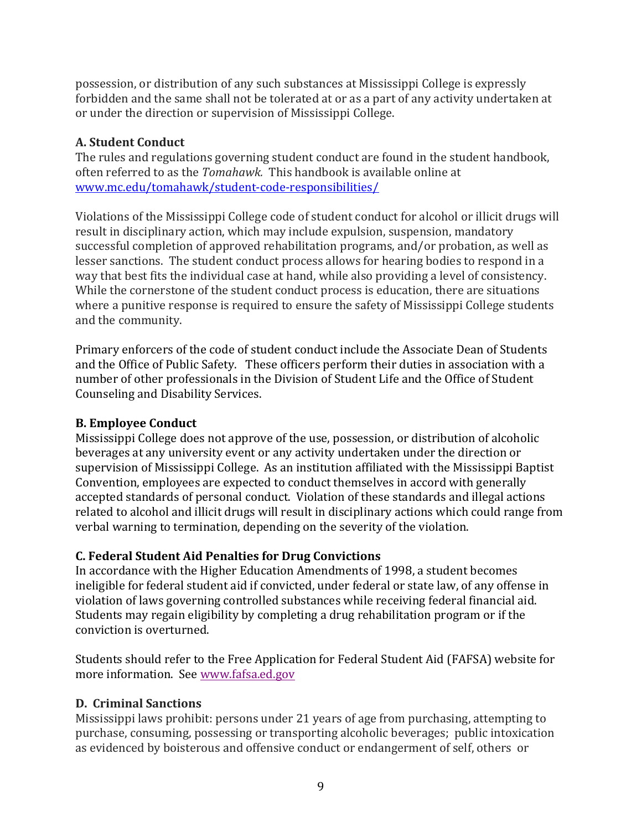possession, or distribution of any such substances at Mississippi College is expressly forbidden and the same shall not be tolerated at or as a part of any activity undertaken at or under the direction or supervision of Mississippi College.

# **A. Student Conduct**

The rules and regulations governing student conduct are found in the student handbook, often referred to as the *Tomahawk*. This handbook is available online at www.mc.edu/tomahawk/student-code-responsibilities/

Violations of the Mississippi College code of student conduct for alcohol or illicit drugs will result in disciplinary action, which may include expulsion, suspension, mandatory successful completion of approved rehabilitation programs, and/or probation, as well as lesser sanctions. The student conduct process allows for hearing bodies to respond in a way that best fits the individual case at hand, while also providing a level of consistency. While the cornerstone of the student conduct process is education, there are situations where a punitive response is required to ensure the safety of Mississippi College students and the community.

Primary enforcers of the code of student conduct include the Associate Dean of Students and the Office of Public Safety. These officers perform their duties in association with a number of other professionals in the Division of Student Life and the Office of Student Counseling and Disability Services.

# **B. Employee Conduct**

Mississippi College does not approve of the use, possession, or distribution of alcoholic beverages at any university event or any activity undertaken under the direction or supervision of Mississippi College. As an institution affiliated with the Mississippi Baptist Convention, employees are expected to conduct themselves in accord with generally accepted standards of personal conduct. Violation of these standards and illegal actions related to alcohol and illicit drugs will result in disciplinary actions which could range from verbal warning to termination, depending on the severity of the violation.

# **C. Federal Student Aid Penalties for Drug Convictions**

In accordance with the Higher Education Amendments of 1998, a student becomes ineligible for federal student aid if convicted, under federal or state law, of any offense in violation of laws governing controlled substances while receiving federal financial aid. Students may regain eligibility by completing a drug rehabilitation program or if the conviction is overturned.

Students should refer to the Free Application for Federal Student Aid (FAFSA) website for more information. See www.fafsa.ed.gov

# **D. Criminal Sanctions**

Mississippi laws prohibit: persons under 21 years of age from purchasing, attempting to purchase, consuming, possessing or transporting alcoholic beverages; public intoxication as evidenced by boisterous and offensive conduct or endangerment of self, others or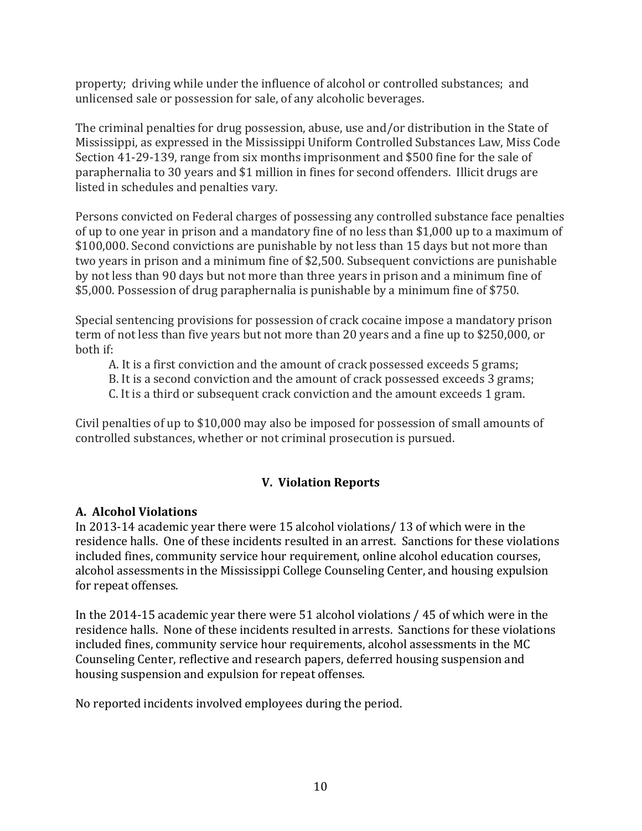property; driving while under the influence of alcohol or controlled substances; and unlicensed sale or possession for sale, of any alcoholic beverages.

The criminal penalties for drug possession, abuse, use and/or distribution in the State of Mississippi, as expressed in the Mississippi Uniform Controlled Substances Law, Miss Code Section 41-29-139, range from six months imprisonment and \$500 fine for the sale of paraphernalia to 30 years and \$1 million in fines for second offenders. Illicit drugs are listed in schedules and penalties vary.

Persons convicted on Federal charges of possessing any controlled substance face penalties of up to one year in prison and a mandatory fine of no less than \$1,000 up to a maximum of \$100,000. Second convictions are punishable by not less than 15 days but not more than two years in prison and a minimum fine of \$2,500. Subsequent convictions are punishable by not less than 90 days but not more than three years in prison and a minimum fine of \$5,000. Possession of drug paraphernalia is punishable by a minimum fine of \$750.

Special sentencing provisions for possession of crack cocaine impose a mandatory prison term of not less than five years but not more than 20 years and a fine up to \$250,000, or hoth if:

A. It is a first conviction and the amount of crack possessed exceeds 5 grams;

B. It is a second conviction and the amount of crack possessed exceeds 3 grams;

C. It is a third or subsequent crack conviction and the amount exceeds 1 gram.

Civil penalties of up to  $$10,000$  may also be imposed for possession of small amounts of controlled substances, whether or not criminal prosecution is pursued.

# **V. Violation Reports**

# **A. Alcohol Violations**

In 2013-14 academic year there were 15 alcohol violations/ 13 of which were in the residence halls. One of these incidents resulted in an arrest. Sanctions for these violations included fines, community service hour requirement, online alcohol education courses, alcohol assessments in the Mississippi College Counseling Center, and housing expulsion for repeat offenses.

In the  $2014-15$  academic year there were 51 alcohol violations  $/$  45 of which were in the residence halls. None of these incidents resulted in arrests. Sanctions for these violations included fines, community service hour requirements, alcohol assessments in the MC Counseling Center, reflective and research papers, deferred housing suspension and housing suspension and expulsion for repeat offenses.

No reported incidents involved employees during the period.